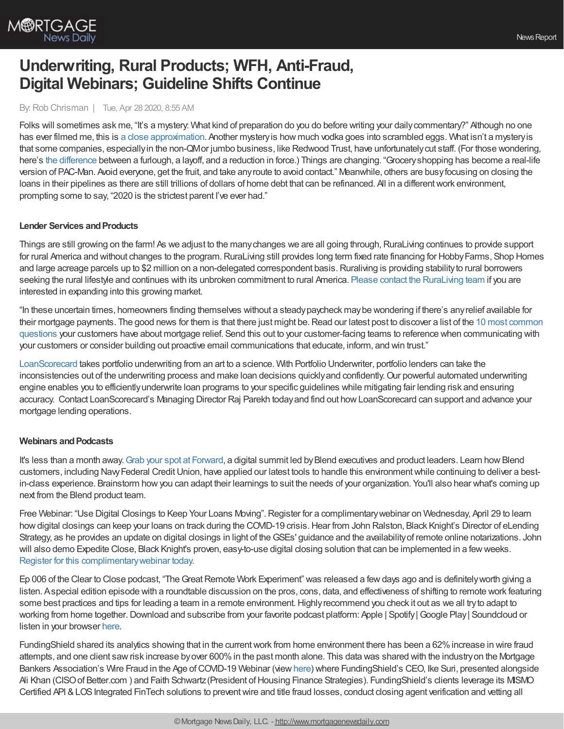

# **Underwriting, Rural Products; WFH, Anti-Fraud, Digital Webinars; Guideline Shifts Continue**

## By:Rob Chrisman | Tue, Apr 28 2020, 8:55 AM

Folks will sometimes ask me, "It's a mystery. What kind of preparation do you do before writing your daily commentary?" Although no one has ever filmed me, this is a close [approximation](https://www.youtube.com/watch?v=4ic7RNS4Dfo&t=7s). Another mysteryis how much vodka goes into scrambled eggs. What isn't a mysteryis that some companies, especiallyin the non-QMor jumbo business, like Redwood Trust, have unfortunatelycut staff. (For those wondering, here's the [difference](https://www.shrm.org/resourcesandtools/tools-and-samples/hr-qa/pages/furloughlayoffreductioninforce.aspx) between a furlough, a layoff, and a reduction in force.) Things are changing. "Groceryshopping has become a real-life version of PAC-Man. Avoid everyone, get the fruit, and take anyroute to avoid contact." Meanwhile, others are busyfocusing on closing the loans in their pipelines as there are still trillions of dollars of home debt that can be refinanced. All in a different work environment, prompting some to say, "2020 is the strictest parent I've ever had."

## **Lender Services and Products**

Things are still growing on the farm! As we adjust to the many changes we are all going through, RuraLiving continues to provide support for rural America and without changes to the program. RuraLiving still provides long term fixed rate financing for Hobby Farms, Shop Homes and large acreage parcels up to \$2 million on a non-delegated correspondent basis. Ruraliving is providing stability to rural borrowers seeking the rural lifestyle and continues with its unbroken commitment to rural America. Please contact the [RuraLiving](https://pages.compeer.com/RuraLivingMatrix.html) team if you are interested in expanding into this growing market.

"In these uncertain times, homeowners finding themselves without a steadypaycheck maybe wondering if there's anyrelief available for their mortgage payments. The good news for them is that there just might be. Read our latest post to discover a list of the 10 most common questions your customers have about mortgage relief. Send this out to your [customer-facing](https://totalexpert.com/10-questions-customers-have-about-mortgage-loan-relief/?utm_campaign=te-blog&utm_source=chrisman&utm_medium=referral) teams to reference when communicating with your customers or consider building out proactive email communications that educate, inform, and win trust."

[LoanScorecard](https://www.loanscorecard.com/solutions/portfolio-lending?utm_source=rob-chrisman&utm_medium=email&utm_campaign=rob-chrisman-txt-ad) takes portfolio underwriting from an art to a science. With Portfolio Underwriter, portfolio lenders can take the inconsistencies out of the underwriting process and make loan decisions quickly and confidently. Our powerful automated underwriting engine enables you to efficientlyunderwrite loan programs to your specific guidelines while mitigating fair lending risk and ensuring accuracy. Contact LoanScorecard's Managing Director Raj Parekh todayand find out howLoanScorecard can support and advance your mortgage lending operations.

## **Webinars andPodcasts**

It's less than a month away. Grab your spot at [Forward](https://forward.blend.com/), a digital summit led by Blend executives and product leaders. Learn how Blend customers, including NavyFederal CreditUnion, have applied our latest tools to handle this environmentwhile continuing to deliver a bestin-class experience. Brainstorm howyou can adapt their learnings to suit the needs of your organization. You'll also hear what's coming up next from the Blend product team.

Free Webinar: "Use Digital Closings to Keep Your Loans Moving". Register for a complimentary webinar on Wednesday, April 29 to learn how digital closings can keep your loans on track during the COVID-19 crisis. Hear from John Ralston, Black Knight's Director of eLending Strategy, as he provides an update on digital closings in light of theGSEs' guidance and the availabilityof remote online notarizations. John will also demo Expedite Close, Black Knight's proven, easy-to-use digital closing solution that can be implemented in a few weeks. Register for this [complimentarywebinar](https://www.blackknightinc.com/markets-we-serve/mortgage/loan-origination-solutions/expedite-close/digital-close-lp/?utm_source=Rob%20Chrisman&utm_medium=ad&utm_campaign=Expedite%20Close%20-%20Digital%20Close%202020&utm_content=CMP-04995-P5F0M5) today.

Ep 006 of the Clear to Close podcast, "The Great Remote Work Experiment" was released a few days ago and is definitely worth giving a listen. Aspecial edition episode with a roundtable discussion on the pros, cons, data, and effectiveness of shifting to remote work featuring some best practices and tips for leading a team in a remote environment. Highly recommend you check it out as we all try to adapt to working from home together. Download and subscribe from your favorite podcast platform: Apple | Spotify | Google Play | Soundcloud or listen in your browser [here.](https://himaxwell.com/podcast?utm_source=RC&utm_medium=Podcast)

FundingShield shared its analytics showing that in the current work from home environment there has been a 62% increase in wire fraud attempts, and one client sawrisk increase byover 600%in the past month alone. This data was shared with the industryon the Mortgage Bankers Association's Wire Fraud in the Age of COVID-19 Webinar (view [here\)](https://fundingshield.com/timely-covid-19-webinars/) where FundingShield's CEO, Ike Suri, presented alongside Ali Khan (CISO of Better.com) and Faith Schwartz (President of Housing Finance Strategies). FundingShield's clients leverage its MISMO Certified API & LOS Integrated FinTech solutions to prevent wire and title fraud losses, conduct closing agent verification and vetting all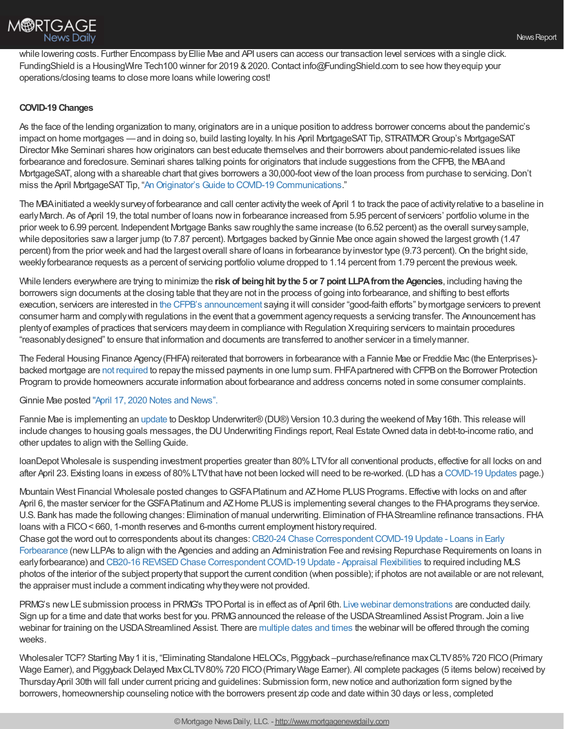

while lowering costs. Further Encompass by Ellie Mae and API users can access our transaction level services with a single click. FundingShield is a HousingWire Tech100 winner for 2019 & 2020. Contact info@FundingShield.com to see how they equip your operations/closing teams to close more loans while lowering cost!

## **COVID-19 Changes**

As the face of the lending organization to many, originators are in a unique position to address borrower concerns about the pandemic's impact on home mortgages —and in doing so, build lasting loyalty. In his April MortgageSATTip, STRATMORGroup's MortgageSAT Director Mike Seminari shares howoriginators can best educate themselves and their borrowers about pandemic-related issues like forbearance and foreclosure. Seminari shares talking points for originators that include suggestions from the CFPB, the MBAand MortgageSAT, along with a shareable chart that gives borrowers a 30,000-foot view of the loan process from purchase to servicing. Don't miss the April MortgageSAT Tip, "An Originator's Guide to COVID-19 [Communications](https://www.stratmorgroup.com/mortgagesat_tips/an-originators-guide-to-covid-19-communications/)."

The MBAinitiated a weeklysurveyof forbearance and call center activitythe week of April 1 to track the pace of activityrelative to a baseline in earlyMarch. As of April 19, the total number of loans nowin forbearance increased from 5.95 percent of servicers' portfolio volume in the prior week to 6.99 percent. Independent Mortgage Banks sawroughlythe same increase (to 6.52 percent) as the overall surveysample, while depositories sawa larger jump (to 7.87 percent). Mortgages backed byGinnie Mae once again showed the largest growth (1.47 percent) from the prior week and had the largest overall share of loans in forbearance by investor type (9.73 percent). On the bright side, weekly forbearance requests as a percent of servicing portfolio volume dropped to 1.14 percent from 1.79 percent the previous week.

While lenders everywhere are trying to minimize the **risk of beinghit bythe 5 or 7 point LLPAfromthe Agencies**, including having the borrowers sign documents at the closing table that theyare not in the process of going into forbearance, and shifting to best efforts execution, servicers are interested in the CFPB's [announcement](https://files.consumerfinance.gov/f/documents/cfpb_policy-guidance_mortgage-servicing-transfers_2020-04.pdf) saying itwill consider "good-faith efforts" bymortgage servicers to prevent consumer harm and complywith regulations in the event that a government agencyrequests a servicing transfer. The Announcement has plentyof examples of practices that servicers maydeem in compliance with Regulation Xrequiring servicers to maintain procedures "reasonablydesigned" to ensure that information and documents are transferred to another servicer in a timelymanner.

The Federal Housing Finance Agency(FHFA) reiterated that borrowers in forbearance with a Fannie Mae or Freddie Mac (the Enterprises) backed mortgage are not [required](http://www.freddiemac.com/media-room/) to repay the missed payments in one lump sum. FHFA partnered with CFPB on the Borrower Protection Program to provide homeowners accurate information about forbearance and address concerns noted in some consumer complaints.

## Ginnie Mae posted "April 17, 2020 Notes and [News".](https://www.ginniemae.gov/issuers/program_guidelines/NotesNews/NotesandNews_04_17_2020.pdf)

Fannie Mae is implementing an [update](https://singlefamily.fanniemae.com/media/22676/display) to Desktop Underwriter®(DU®) Version 10.3 during the weekend of May16th. This release will include changes to housing goals messages, the DU Underwriting Findings report, Real Estate Owned data in debt-to-income ratio, and other updates to align with the Selling Guide.

loanDepot Wholesale is suspending investment properties greater than 80%LTVfor all conventional products, effective for all locks on and after April 23. Existing loans in excess of 80%LTVthat have not been locked will need to be re-worked. (LDhas a [COVID-19](http://ld.ldwholesale.com/ls/click?upn=aYbu09plc4IntLDN6X2n-2BhqGvvlzjEqZuSmWj4xK3Ta6aMRD36dd356kQDqJgf15ybQtWCAl-2BcI0FlOx89Uh9iAlb36wf4dTgbXEEVEauyrWgm0M2Tlcff8s6krN4wfw_5sH_nsxRNYUkMXYB3IyH-2Bw28TYELoM9YpzOtXrrlppkfzFjGpZbwd0bLMcf2RIKlkpDjIKT75vwgxwz07GbXFMs8t5zGaSWpWKtj43AUMFXtK6Wgxq7fC0inlVzKg4cHqKfzIBI-2BxXv46W9XrTjGKB-2BxcONF51fCC9eh6Ka3Ic-2Bd3CXAV64U-2FvZVFiRuLA3D-2FMI6qqaar8wsRvgmThegFtgf2osBK02OGRtbVt6tIpK6aC7d8YFHDGrx0B-2BF-2FRXDVrUmNk6lWXfRr2QA67-2FtZlfZU5L0YcEbsYOy0VU1PLuit5vIw3rkoV9jdXmlNZAfxXc-2BHEJOiKR-2FL7Koo3O-2B2fRaC9fYuvgLTkmtRd4HzRxJUX2V7d-2B7Ga-2B-2FZwqYVblO0LJizGah8xrKphchUiH7VloRqSv-2Bx9Hv3-2BzScXM511MZ3GkQ72v3r1LzkGZG4VrrQE-2FN) Updates page.)

Mountain West Financial Wholesale posted changes to GSFA Platinum and AZ Home PLUS Programs. Effective with locks on and after April 6, the master servicer for the GSFA Platinum and AZ Home PLUS is implementing several changes to the FHA programs they service. U.S. Bank has made the following changes: Elimination of manual underwriting. Elimination of FHAStreamline refinance transactions. FHA loans with a FICO< 660, 1-month reserves and 6-months current employment historyrequired.

Chase got the word out to correspondents about its changes:CB20-24 Chase [CorrespondentCOVID-19](https://urldefense.proofpoint.com/v2/url?u=http-3A__click.mail.chaseb2b.com_-3Fqs-3D0e848a3a9814ba16d12a612afbe99498039b76f37233f5bc9f84280f036f9f30e8b141c8317f549bfb0d377ed06b5291&d=DwMCAg&c=eVunvma8zl9l67TuxnHARlplyQ9WuRmL-niZRa5x0gA&r=KPbERgKds2HnItS3gDACLL0DYMKw__-PkAlIbZqoFFE&m=o4gpWth6s84jJsSzdWPxkhKBl6cDplKHSBn97VUE6-s&s=1dD_hhKcnvpANZsHNKxIWV44NdOoZdpBxIVKrHINDOI&e=) Update - Loans in Early Forbearance (newLLPAs to align with the Agencies and adding an Administration Fee and revising Repurchase Requirements on loans in early forbearance) and CB20-16 REVISED Chase Correspondent COVID-19 Update - Appraisal Flexibilities to required including MLS photos of the interior of the subject propertythat support the current condition (when possible); if photos are not available or are not relevant, the appraiser must include a comment indicating whytheywere not provided.

PRMG's new LE submission process in PRMG's TPO Portal is in effect as of April 6th. Live webinar [demonstrations](https://register.gotowebinar.com/rt/6728524481640073475) are conducted daily. Sign up for a time and date that works best for you. PRMG announced the release of the USDA Streamlined Assist Program. Join a live webinar for training on the USDAStreamlined Assist. There are [multiple](https://register.gotowebinar.com/rt/8615658072389098763) dates and times the webinar will be offered through the coming weeks.

Wholesaler TCF? Starting May1 it is, "Eliminating Standalone HELOCs, Piggyback –purchase/refinance maxCLTV85%720 FICO(Primary Wage Earner), and Piggyback Delayed Max CLTV80% 720 FICO (Primary Wage Earner). All complete packages (5 items below) received by ThursdayApril 30th will fall under current pricing and guidelines: Submission form, newnotice and authorization form signed bythe borrowers, homeownership counseling notice with the borrowers present zip code and date within 30 days or less, completed